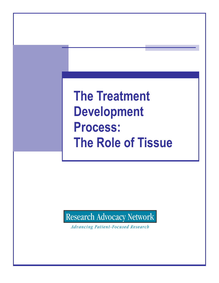**The Treatment Development Process: The Role of Tissue** 

Research Advocacy Network

**Advancing Patient-Focused Research**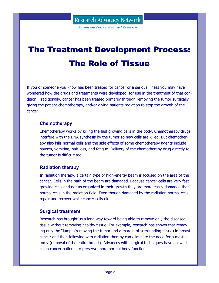**Advancing Patient-Focused Research** 

# The Treatment Development Process: The Role of Tissue

If you or someone you know has been treated for cancer or a serious illness you may have wondered how the drugs and treatments were developed for use in the treatment of that condition. Traditionally, cancer has been treated primarily through removing the tumor surgically, giving the patient chemotherapy, and/or giving patients radiation to stop the growth of the cancer.

# **Chemotherapy**

Chemotherapy works by killing the fast growing cells in the body. Chemotherapy drugs interfere with the DNA synthesis by the tumor so new cells are killed. But chemotherapy also kills normal cells and the side effects of some chemotherapy agents include nausea, vomiting, hair loss, and fatigue. Delivery of the chemotherapy drug directly to the tumor is difficult too.

# **Radiation therapy**

In radiation therapy, a certain type of high-energy beam is focused on the area of the cancer. Cells in the path of the beam are damaged. Because cancer cells are very fast growing cells and not as organized in their growth they are more easily damaged than normal cells in the radiation field. Even though damaged by the radiation normal cells repair and recover while cancer cells die.

# **Surgical treatment**

Research has brought us a long way toward being able to remove only the diseased tissue without removing healthy tissue. For example, research has shown that removing only the "lump" (removing the tumor and a margin of surrounding tissue) in breast cancer and then following with radiation therapy can eliminate the need for a mastectomy (removal of the entire breast). Advances with surgical techniques have allowed colon cancer patients to preserve more normal body functions.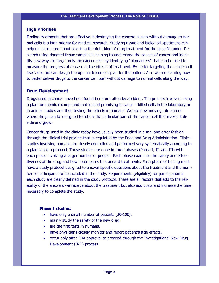### **High Priorities**

Finding treatments that are effective in destroying the cancerous cells without damage to normal cells is a high priority for medical research. Studying tissue and biological specimens can help us learn more about selecting the right kind of drug treatment for the specific tumor. Research using donated tissue samples is helping to understand the causes of cancer and identify new ways to target only the cancer cells by identifying "biomarkers" that can be used to measure the progress of disease or the effects of treatment. By better targeting the cancer cell itself, doctors can design the optimal treatment plan for the patient. Also we are learning how to better deliver drugs to the cancer cell itself without damage to normal cells along the way.

# **Drug Development**

Drugs used in cancer have been found in nature often by accident. The process involves taking a plant or chemical compound that looked promising because it killed cells in the laboratory or in animal studies and then testing the effects in humans. We are now moving into an era where drugs can be designed to attack the particular part of the cancer cell that makes it divide and grow.

Cancer drugs used in the clinic today have usually been studied in a trial and error fashion through the clinical trial process that is regulated by the Food and Drug Administration. Clinical studies involving humans are closely controlled and performed very systematically according to a plan called a protocol. These studies are done in three phases (Phase I, II, and III) with each phase involving a larger number of people. Each phase examines the safety and effectiveness of the drug and how it compares to standard treatments. Each phase of testing must have a study protocol designed to answer specific questions about the treatment and the number of participants to be included in the study. Requirements (eligibility) for participation in each study are clearly defined in the study protocol. These are all factors that add to the reliability of the answers we receive about the treatment but also add costs and increase the time necessary to complete the study.

#### **Phase I studies:**

- have only a small number of patients (20-100).
- mainly study the safety of the new drug.
- are the first tests in humans.
- have physicians closely monitor and report patient's side effects.
- occur only after FDA approval to proceed through the Investigational New Drug Development (IND) process.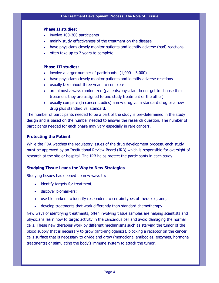#### **Phase II studies:**

- involve 100-300 participants
- mainly study effectiveness of the treatment on the disease
- have physicians closely monitor patients and identify adverse (bad) reactions
- often take up to 2 years to complete

#### **Phase III studies:**

- involve a larger number of participants  $(1,000 3,000)$
- have physicians closely monitor patients and identify adverse reactions
- usually take about three years to complete
- are almost always randomized (patients/physician do not get to choose their treatment they are assigned to one study treatment or the other)
- usually compare (in cancer studies) a new drug vs. a standard drug or a new drug plus standard vs. standard.

The number of participants needed to be a part of the study is pre-determined in the study design and is based on the number needed to answer the research question. The number of participants needed for each phase may vary especially in rare cancers.

#### **Protecting the Patient**

While the FDA watches the regulatory issues of the drug development process, each study must be approved by an Institutional Review Board (IRB) which is responsible for oversight of research at the site or hospital. The IRB helps protect the participants in each study.

#### **Studying Tissue Leads the Way to New Strategies**

Studying tissues has opened up new ways to:

- identify targets for treatment;
- discover biomarkers;
- use biomarkers to identify responders to certain types of therapies; and,
- develop treatments that work differently than standard chemotherapy.

New ways of identifying treatments, often involving tissue samples are helping scientists and physicians learn how to target activity in the cancerous cell and avoid damaging the normal cells. These new therapies work by different mechanisms such as starving the tumor of the blood supply that is necessary to grow (anti-angiogenics), blocking a receptor on the cancer cells surface that is necessary to divide and grow (monoclonal antibodies, enzymes, hormonal treatments) or stimulating the body's immune system to attack the tumor.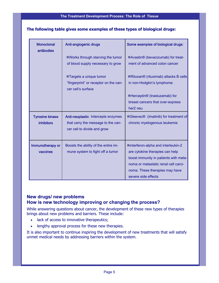#### **The following table gives some examples of these types of biological drugs:**

| <b>Monoclonal</b><br>antibodies             | Anti-angiogenic drugs                                                                                          | Some examples of biological drugs:                                                                                                                                                                               |
|---------------------------------------------|----------------------------------------------------------------------------------------------------------------|------------------------------------------------------------------------------------------------------------------------------------------------------------------------------------------------------------------|
|                                             | ■Works through starving the tumor<br>of blood supply necessary to grow                                         | ■Avastin® (bevacizumab) for treat-<br>ment of advanced colon cancer                                                                                                                                              |
|                                             | ■Targets a unique tumor<br>"fingerprint" or receptor on the can-<br>cer cell's surface                         | ■Rituxan® (rituximab) attacks B cells<br>in non-Hodgkin's lymphoma                                                                                                                                               |
|                                             |                                                                                                                | ■Herceptin® (trastuzamab) for<br>breast cancers that over-express<br>her <sub>2</sub> neu                                                                                                                        |
| <b>Tyrosine kinase</b><br><b>inhibitors</b> | <b>Anti-neoplastic</b> Intercepts enzymes<br>that carry the message to the can-<br>cer cell to divide and grow | Gleevec <sup>®</sup> (imatinib) for treatment of<br>chronic myelogenous leukemia                                                                                                                                 |
| Immunotherapy or<br>vaccines                | Boosts the ability of the entire im-<br>mune system to fight off a tumor                                       | ■interferon-alpha and interleukin-2<br>are cytokine therapies can help<br>boost immunity in patients with mela-<br>noma or metastatic renal cell carci-<br>noma. These therapies may have<br>severe side effects |

## **New drugs/ new problems How is new technology improving or changing the process?**

While answering questions about cancer, the development of these new types of therapies brings about new problems and barriers. These include:

- lack of access to innovative therapeutics;
- lengthy approval process for these new therapies.

It is also important to continue inspiring the development of new treatments that will satisfy unmet medical needs by addressing barriers within the system.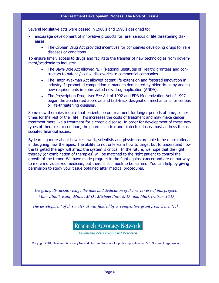Several legislative acts were passed in 1980's and 1990's designed to:

- encourage development of innovative products for rare, serious or life threatening diseases.
	- The Orphan Drug Act provided incentives for companies developing drugs for rare diseases or conditions.

To ensure timely access to drugs and facilitate the transfer of new technologies from government/academia to industry:

- The Bayh-Dole Act allowed NIH (National Institutes of Health) grantees and contractors to patent /license discoveries to commercial companies.
- The Hatch-Waxman Act allowed patent life extension and fostered innovation in industry. It promoted competition in markets dominated by older drugs by adding new requirements in abbreviated new drug application (ANDA).
- The Prescription Drug User Fee Act of 1992 and FDA Modernization Act of 1997 began the accelerated approval and fast-track designation mechanisms for serious or life-threatening diseases.

Some new therapies require that patients be on treatment for longer periods of time, sometimes for the rest of their life. This increases the costs of treatment and may make cancer treatment more like a treatment for a chronic disease. In order for development of these new types of therapies to continue, the pharmaceutical and biotech industry must address the associated financial issues.

By learning more about how cells work, scientists and physicians are able to be more rational in designing new therapies. The ability to not only learn how to target but to understand how the targeted therapy will affect the system is critical. In the future, we hope that the right therapy (or combination of therapies) will be matched to the right patient to control the growth of the tumor. We have made progress in the fight against cancer and are on our way to more individualized medicine, but there is still much to be learned. You can help by giving permission to study your tissue obtained after medical procedures.

*We gratefully acknowledge the time and dedication of the reviewers of this project: Mary Elliott, Kathy Miller, M.D., Michael Pins, M.D., and Mark Watson, PhD* 

*The development of this material was funded by a competitive grant from Genentech.* 

# Research Advocacy Network

**Advancing Patient-Focused Research** 

Copyright 2004, Research Advocacy Network, Inc. an Illinois not for profit corporation and 501c3 exempt organization